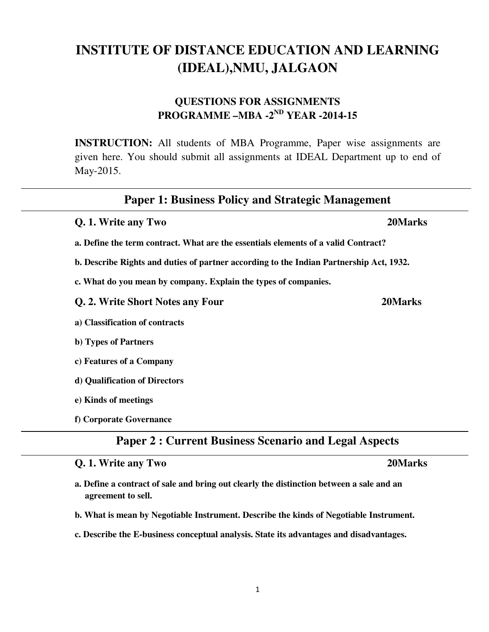1

# **INSTITUTE OF DISTANCE EDUCATION AND LEARNING (IDEAL),NMU, JALGAON**

## **QUESTIONS FOR ASSIGNMENTS PROGRAMME –MBA -2ND YEAR -2014-15**

**INSTRUCTION:** All students of MBA Programme, Paper wise assignments are given here. You should submit all assignments at IDEAL Department up to end of May-2015.

## **Paper 1: Business Policy and Strategic Management**

**a. Define the term contract. What are the essentials elements of a valid Contract?** 

**b. Describe Rights and duties of partner according to the Indian Partnership Act, 1932.** 

**c. What do you mean by company. Explain the types of companies.** 

**Q. 2. Write Short Notes any Four 20Marks** 

**a) Classification of contracts** 

**b) Types of Partners** 

**c) Features of a Company** 

**d) Qualification of Directors** 

**e) Kinds of meetings** 

**f) Corporate Governance** 

## **Paper 2 : Current Business Scenario and Legal Aspects**

### **Q. 1. Write any Two 20Marks**

- **a. Define a contract of sale and bring out clearly the distinction between a sale and an agreement to sell.**
- **b. What is mean by Negotiable Instrument. Describe the kinds of Negotiable Instrument.**
- **c. Describe the E-business conceptual analysis. State its advantages and disadvantages.**

**Q. 1. Write any Two 20Marks**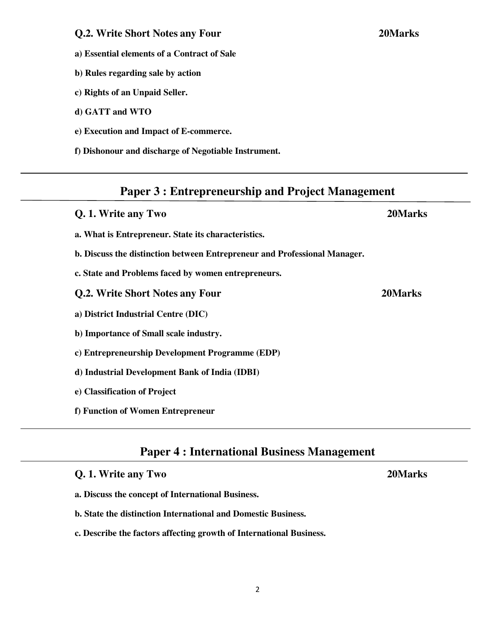**Q.2. Write Short Notes any Four 20Marks** 

- **a) Essential elements of a Contract of Sale**
- **b) Rules regarding sale by action**
- **c) Rights of an Unpaid Seller.**
- **d) GATT and WTO**
- **e) Execution and Impact of E-commerce.**
- **f) Dishonour and discharge of Negotiable Instrument.**

# **Paper 3 : Entrepreneurship and Project Management**

| <b>Q. 1. Write any Two</b>                                                | 20Marks |
|---------------------------------------------------------------------------|---------|
| a. What is Entrepreneur. State its characteristics.                       |         |
| b. Discuss the distinction between Entrepreneur and Professional Manager. |         |
| c. State and Problems faced by women entrepreneurs.                       |         |
| Q.2. Write Short Notes any Four                                           | 20Marks |
| a) District Industrial Centre (DIC)                                       |         |
| b) Importance of Small scale industry.                                    |         |
| c) Entrepreneurship Development Programme (EDP)                           |         |
| d) Industrial Development Bank of India (IDBI)                            |         |
| e) Classification of Project                                              |         |
| f) Function of Women Entrepreneur                                         |         |

## **Paper 4 : International Business Management**

**Q. 1. Write any Two 20Marks** 

- **a. Discuss the concept of International Business.**
- **b. State the distinction International and Domestic Business.**
- **c. Describe the factors affecting growth of International Business.**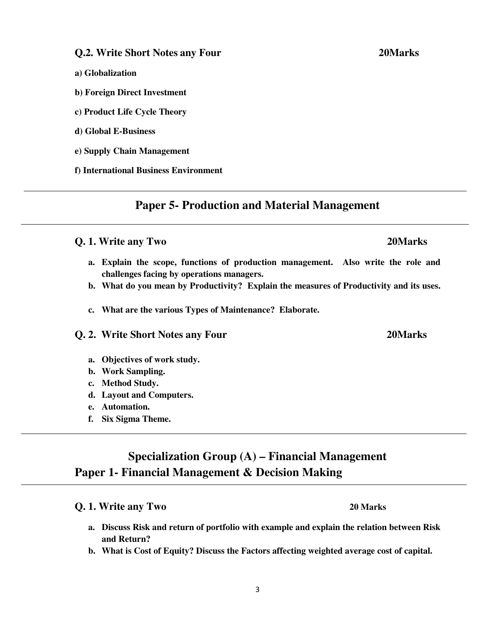### 3

### **Q.2. Write Short Notes any Four 20Marks**

- **a) Globalization**
- **b) Foreign Direct Investment**
- **c) Product Life Cycle Theory**
- **d) Global E-Business**
- **e) Supply Chain Management**
- **f) International Business Environment**

### **Paper 5- Production and Material Management**

### **Q. 1. Write any Two 20Marks**

- **a. Explain the scope, functions of production management. Also write the role and challenges facing by operations managers.**
- **b. What do you mean by Productivity? Explain the measures of Productivity and its uses.**
- **c. What are the various Types of Maintenance? Elaborate.**

### **Q. 2. Write Short Notes any Four 20Marks**

- **a. Objectives of work study.**
- **b. Work Sampling.**
- **c. Method Study.**
- **d. Layout and Computers.**
- **e. Automation.**
- **f. Six Sigma Theme.**

## **Specialization Group (A) – Financial Management Paper 1- Financial Management & Decision Making**

### **Q. 1. Write any Two 20 Marks**

- **a. Discuss Risk and return of portfolio with example and explain the relation between Risk and Return?**
- **b. What is Cost of Equity? Discuss the Factors affecting weighted average cost of capital.**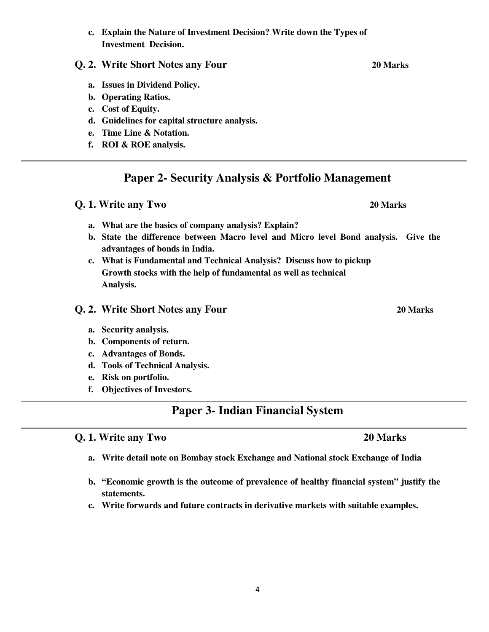### **c. Explain the Nature of Investment Decision? Write down the Types of Investment Decision.**

### **Q. 2. Write Short Notes any Four 20 Marks**

- **a. Issues in Dividend Policy.**
- **b. Operating Ratios.**
- **c. Cost of Equity.**
- **d. Guidelines for capital structure analysis.**
- **e. Time Line & Notation.**
- **f. ROI & ROE analysis.**

## **Paper 2- Security Analysis & Portfolio Management**

**Q. 1. Write any Two 20 Marks** 

## **a. What are the basics of company analysis? Explain?**

- **b. State the difference between Macro level and Micro level Bond analysis. Give the advantages of bonds in India.**
- **c. What is Fundamental and Technical Analysis? Discuss how to pickup Growth stocks with the help of fundamental as well as technical Analysis.**

### **Q. 2. Write Short Notes any Four 20 Marks**

### **a. Security analysis.**

- **b. Components of return.**
- **c. Advantages of Bonds.**
- **d. Tools of Technical Analysis.**
- **e. Risk on portfolio.**
- **f. Objectives of Investors.**

## **Paper 3- Indian Financial System**

### **Q. 1. Write any Two 20 Marks**

- **a. Write detail note on Bombay stock Exchange and National stock Exchange of India**
- **b. "Economic growth is the outcome of prevalence of healthy financial system" justify the statements.**
- **c. Write forwards and future contracts in derivative markets with suitable examples.**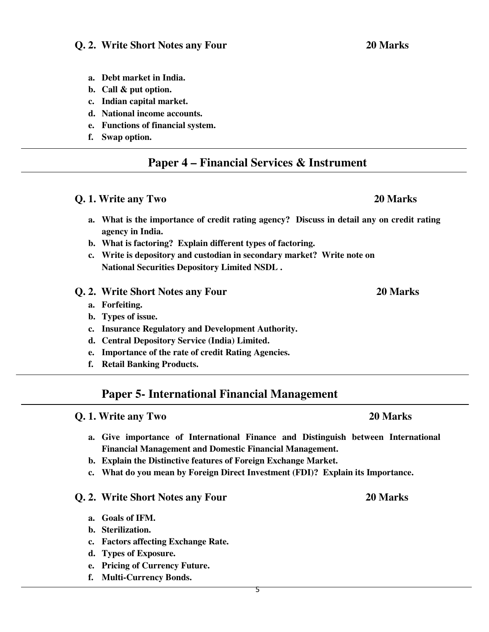### **Q. 2. Write Short Notes any Four 20 Marks**

- **a. Debt market in India.**
- **b. Call & put option.**
- **c. Indian capital market.**
- **d. National income accounts.**
- **e. Functions of financial system.**
- **f. Swap option.**

## **Paper 4 – Financial Services & Instrument**

### **Q. 1. Write any Two 20 Marks**

- **a. What is the importance of credit rating agency? Discuss in detail any on credit rating agency in India.**
- **b. What is factoring? Explain different types of factoring.**
- **c. Write is depository and custodian in secondary market? Write note on National Securities Depository Limited NSDL .**
- **Q. 2. Write Short Notes any Four 20 Marks** 
	- **a. Forfeiting.**
	- **b. Types of issue.**
	- **c. Insurance Regulatory and Development Authority.**
	- **d. Central Depository Service (India) Limited.**
	- **e. Importance of the rate of credit Rating Agencies.**
	- **f. Retail Banking Products.**

### **Paper 5- International Financial Management**

# **Q. 1. Write any Two 20 Marks a. Give importance of International Finance and Distinguish between International Financial Management and Domestic Financial Management. b. Explain the Distinctive features of Foreign Exchange Market. c. What do you mean by Foreign Direct Investment (FDI)? Explain its Importance. Q. 2. Write Short Notes any Four 20 Marks**

- **a. Goals of IFM.**
- **b. Sterilization.**
- **c. Factors affecting Exchange Rate.**
- **d. Types of Exposure.**
- **e. Pricing of Currency Future.**
- **f. Multi-Currency Bonds.**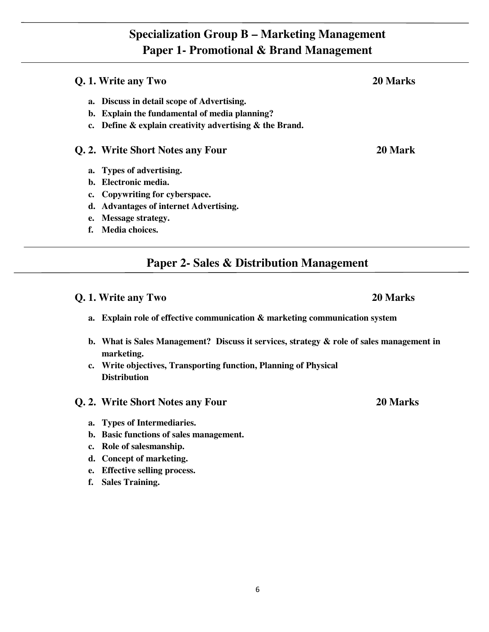## **Specialization Group B – Marketing Management Paper 1- Promotional & Brand Management**

6

# **Q. 1. Write any Two 20 Marks a. Discuss in detail scope of Advertising. b. Explain the fundamental of media planning? c. Define & explain creativity advertising & the Brand. Q. 2. Write Short Notes any Four 20 Mark a. Types of advertising. b. Electronic media. c. Copywriting for cyberspace.**

**Paper 2- Sales & Distribution Management** 

## **Q. 1. Write any Two 20 Marks**

**e. Message strategy. f. Media choices.** 

- **a. Explain role of effective communication & marketing communication system**
- **b. What is Sales Management? Discuss it services, strategy & role of sales management in marketing.**
- **c. Write objectives, Transporting function, Planning of Physical Distribution**

### **Q. 2. Write Short Notes any Four 20 Marks**

- **a. Types of Intermediaries.**
- **b. Basic functions of sales management.**

**d. Advantages of internet Advertising.** 

- **c. Role of salesmanship.**
- **d. Concept of marketing.**
- **e. Effective selling process.**
- **f. Sales Training.**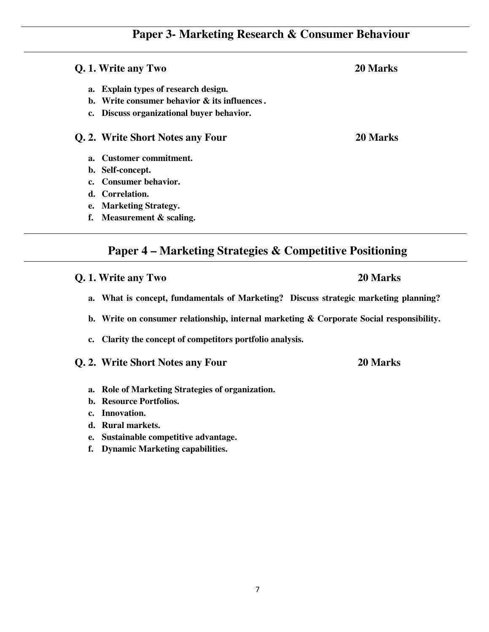## **Paper 3- Marketing Research & Consumer Behaviour**

**Q. 1. Write any Two 20 Marks a. Explain types of research design. b. Write consumer behavior & its influences . c. Discuss organizational buyer behavior. Q. 2. Write Short Notes any Four 20 Marks a. Customer commitment. b. Self-concept. c. Consumer behavior. d. Correlation.** 

- **e. Marketing Strategy.**
- **f. Measurement & scaling.**

## **Paper 4 – Marketing Strategies & Competitive Positioning**

### **Q. 1. Write any Two 20 Marks**

- **a. What is concept, fundamentals of Marketing? Discuss strategic marketing planning?**
- **b. Write on consumer relationship, internal marketing & Corporate Social responsibility.**
- **c. Clarity the concept of competitors portfolio analysis.**

### **Q. 2. Write Short Notes any Four 20 Marks**

- **a. Role of Marketing Strategies of organization.**
- **b. Resource Portfolios.**
- **c. Innovation.**
- **d. Rural markets.**
- **e. Sustainable competitive advantage.**
- **f. Dynamic Marketing capabilities.**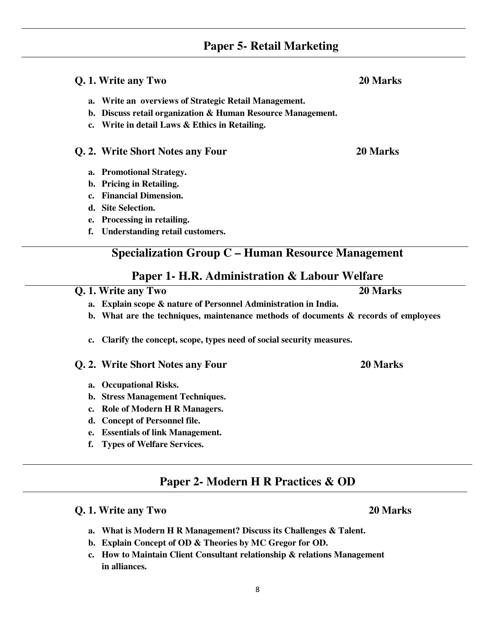8

## **Paper 5- Retail Marketing**

# **a. Write an overviews of Strategic Retail Management. b. Discuss retail organization & Human Resource Management. c. Write in detail Laws & Ethics in Retailing.**

**Q. 1. Write any Two 20 Marks**

### **Q. 2. Write Short Notes any Four 20 Marks**

- **a. Promotional Strategy.**
- **b. Pricing in Retailing.**
- **c. Financial Dimension.**
- **d. Site Selection.**
- **e. Processing in retailing.**
- **f. Understanding retail customers.**

## **Specialization Group C – Human Resource Management**

## **Paper 1- H.R. Administration & Labour Welfare**

**Q. 1. Write any Two 20 Marks**

- **a. Explain scope & nature of Personnel Administration in India.**
- **b. What are the techniques, maintenance methods of documents & records of employees**
- **c. Clarify the concept, scope, types need of social security measures.**
- **Q. 2. Write Short Notes any Four 20 Marks** 
	- **a. Occupational Risks.**
	- **b. Stress Management Techniques.**
	- **c. Role of Modern H R Managers.**
	- **d. Concept of Personnel file.**
	- **e. Essentials of link Management.**
	- **f. Types of Welfare Services.**

## **Paper 2- Modern H R Practices & OD**

## **Q. 1. Write any Two 20 Marks**

- **a. What is Modern H R Management? Discuss its Challenges & Talent.**
- **b. Explain Concept of OD & Theories by MC Gregor for OD.**
- **c. How to Maintain Client Consultant relationship & relations Management in alliances.**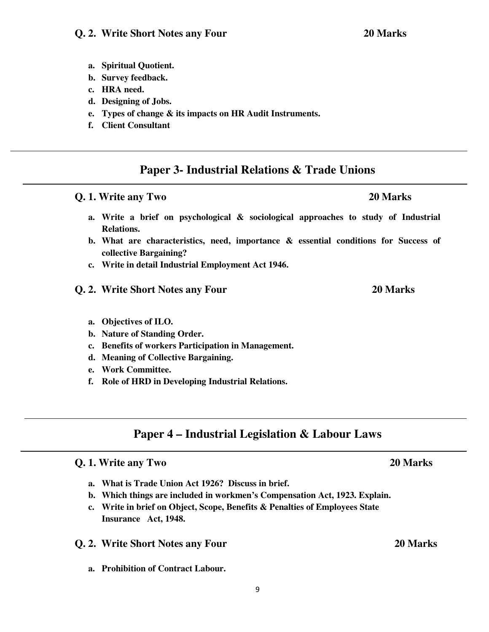### **Q. 2. Write Short Notes any Four 20 Marks**

- **a. Spiritual Quotient.**
- **b. Survey feedback.**
- **c. HRA need.**
- **d. Designing of Jobs.**
- **e. Types of change & its impacts on HR Audit Instruments.**
- **f. Client Consultant**

## **Paper 3- Industrial Relations & Trade Unions**

- **a. Write a brief on psychological & sociological approaches to study of Industrial Relations.**
- **b. What are characteristics, need, importance & essential conditions for Success of collective Bargaining?**
- **c. Write in detail Industrial Employment Act 1946.**
- **Q. 2. Write Short Notes any Four 20 Marks**
	- **a. Objectives of ILO.**
	- **b. Nature of Standing Order.**
	- **c. Benefits of workers Participation in Management.**
	- **d. Meaning of Collective Bargaining.**
	- **e. Work Committee.**
	- **f. Role of HRD in Developing Industrial Relations.**

## **Paper 4 – Industrial Legislation & Labour Laws**

### **Q. 1. Write any Two 20 Marks**

- **a. What is Trade Union Act 1926? Discuss in brief.**
- **b. Which things are included in workmen's Compensation Act, 1923. Explain.**
- **c. Write in brief on Object, Scope, Benefits & Penalties of Employees State Insurance Act, 1948.**
- **Q. 2. Write Short Notes any Four 20 Marks**
	- **a. Prohibition of Contract Labour.**

## **Q. 1. Write any Two 20 Marks**